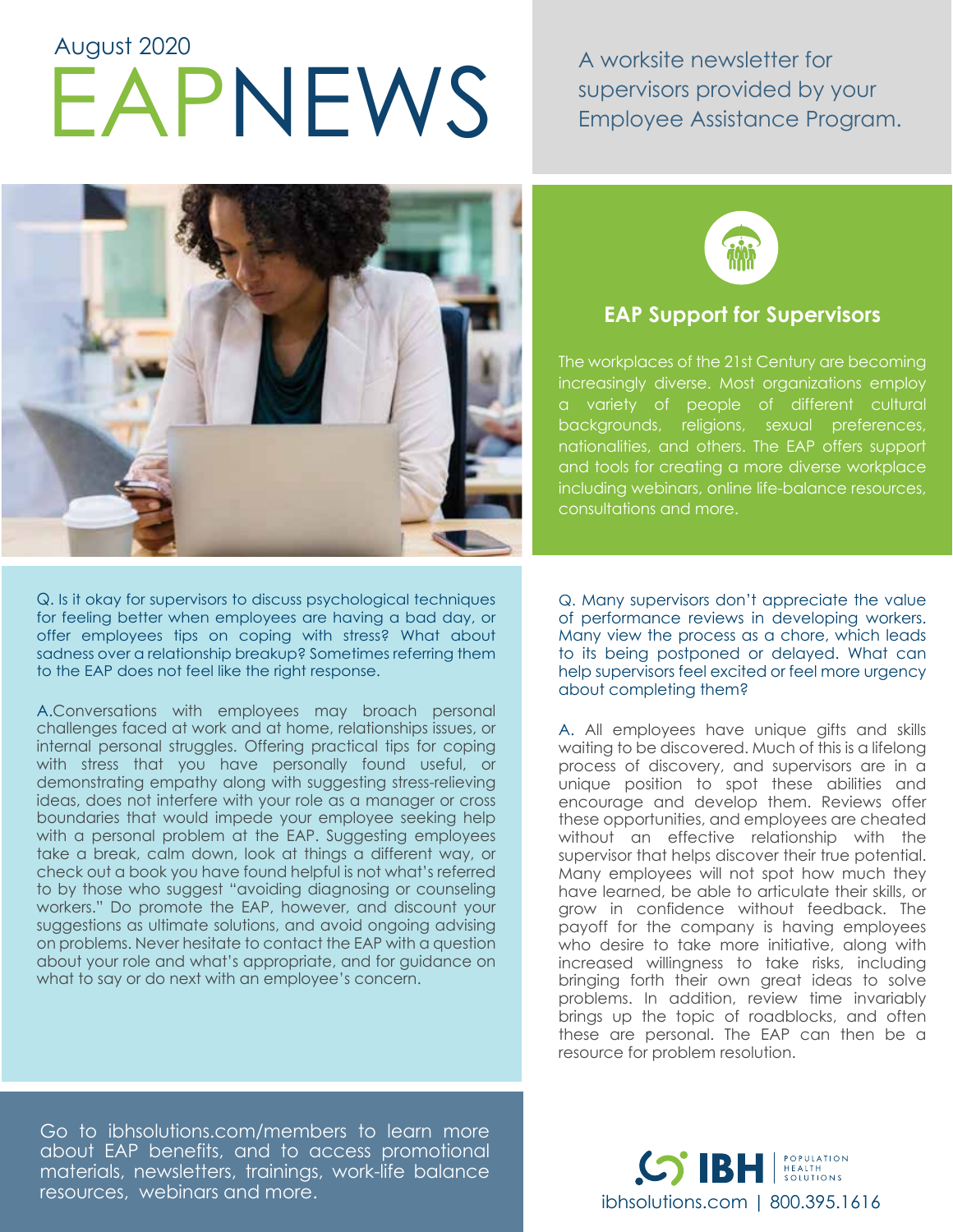# APNEWS A worksite newsletter for<br>EXPIREMS A worksite newsletter for<br>Employee Assistance Pro August 2020

supervisors provided by your Employee Assistance Program.



Q. Is it okay for supervisors to discuss psychological techniques for feeling better when employees are having a bad day, or offer employees tips on coping with stress? What about sadness over a relationship breakup? Sometimes referring them to the EAP does not feel like the right response.

A.Conversations with employees may broach personal challenges faced at work and at home, relationships issues, or internal personal struggles. Offering practical tips for coping with stress that you have personally found useful, or demonstrating empathy along with suggesting stress-relieving ideas, does not interfere with your role as a manager or cross boundaries that would impede your employee seeking help with a personal problem at the EAP. Suggesting employees take a break, calm down, look at things a different way, or check out a book you have found helpful is not what's referred to by those who suggest "avoiding diagnosing or counseling workers." Do promote the EAP, however, and discount your suggestions as ultimate solutions, and avoid ongoing advising on problems. Never hesitate to contact the EAP with a question about your role and what's appropriate, and for guidance on what to say or do next with an employee's concern.



## **EAP Support for Supervisors**

The workplaces of the 21st Century are becoming increasingly diverse. Most organizations employ a variety of people of different cultural backgrounds, religions, sexual preferences, nationalities, and others. The EAP offers support and tools for creating a more diverse workplace including webinars, online life-balance resources, consultations and more.

Q. Many supervisors don't appreciate the value of performance reviews in developing workers. Many view the process as a chore, which leads to its being postponed or delayed. What can help supervisors feel excited or feel more urgency about completing them?

A. All employees have unique gifts and skills waiting to be discovered. Much of this is a lifelong process of discovery, and supervisors are in a unique position to spot these abilities and encourage and develop them. Reviews offer these opportunities, and employees are cheated without an effective relationship with the supervisor that helps discover their true potential. Many employees will not spot how much they have learned, be able to articulate their skills, or grow in confidence without feedback. The payoff for the company is having employees who desire to take more initiative, along with increased willingness to take risks, including bringing forth their own great ideas to solve problems. In addition, review time invariably brings up the topic of roadblocks, and often these are personal. The EAP can then be a resource for problem resolution.

Go to ibhsolutions.com/members to learn more about EAP benefits, and to access promotional materials, newsletters, trainings, work-life balance resources, webinars and more.